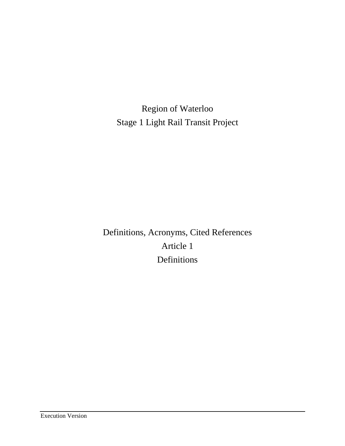Region of Waterloo Stage 1 Light Rail Transit Project

Definitions, Acronyms, Cited References Article 1 Definitions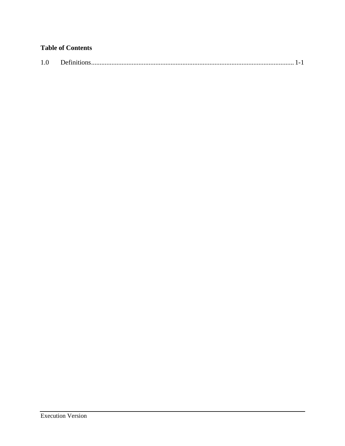# **Table of Contents**

| 1.0 |  |  |  |  |
|-----|--|--|--|--|
|-----|--|--|--|--|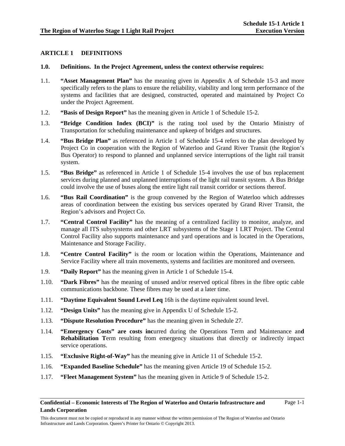# **ARTICLE 1 DEFINITIONS**

# **1.0. Definitions. In the Project Agreement, unless the context otherwise requires:**

- 1.1. **"Asset Management Plan"** has the meaning given in Appendix A of Schedule 15-3 and more specifically refers to the plans to ensure the reliability, viability and long term performance of the systems and facilities that are designed, constructed, operated and maintained by Project Co under the Project Agreement.
- 1.2. **"Basis of Design Report"** has the meaning given in Article 1 of Schedule 15-2.
- 1.3. **"Bridge Condition Index (BCI)"** is the rating tool used by the Ontario Ministry of Transportation for scheduling maintenance and upkeep of bridges and structures.
- 1.4. **"Bus Bridge Plan"** as referenced in Article 1 of Schedule 15-4 refers to the plan developed by Project Co in cooperation with the Region of Waterloo and Grand River Transit (the Region's Bus Operator) to respond to planned and unplanned service interruptions of the light rail transit system.
- 1.5. **"Bus Bridge"** as referenced in Article 1 of Schedule 15-4 involves the use of bus replacement services during planned and unplanned interruptions of the light rail transit system. A Bus Bridge could involve the use of buses along the entire light rail transit corridor or sections thereof.
- 1.6. **"Bus Rail Coordination"** is the group convened by the Region of Waterloo which addresses areas of coordination between the existing bus services operated by Grand River Transit, the Region's advisors and Project Co.
- 1.7. **"Central Control Facility"** has the meaning of a centralized facility to monitor, analyze, and manage all ITS subysystems and other LRT subsystems of the Stage 1 LRT Project. The Central Control Facility also supports maintenance and yard operations and is located in the Operations, Maintenance and Storage Facility.
- 1.8. **"Centre Control Facility"** is the room or location within the Operations, Maintenance and Service Facility where all train movements, systems and facilities are monitored and overseen.
- 1.9. **"Daily Report"** has the meaning given in Article 1 of Schedule 15-4.
- 1.10. **"Dark Fibres"** has the meaning of unused and/or reserved optical fibres in the fibre optic cable communications backbone. These fibres may be used at a later time.
- 1.11. **"Daytime Equivalent Sound Level Leq** 16h is the daytime equivalent sound level.
- 1.12. **"Design Units"** has the meaning give in Appendix U of Schedule 15-2.
- 1.13. **"Dispute Resolution Procedure"** has the meaning given in Schedule 27.
- 1.14. **"Emergency Costs" are costs inc**urred during the Operations Term and Maintenance an**d Rehabilitation T**erm resulting from emergency situations that directly or indirectly impact service operations.
- 1.15. **"Exclusive Right-of-Way"** has the meaning give in Article 11 of Schedule 15-2.
- 1.16. **"Expanded Baseline Schedule"** has the meaning given Article 19 of Schedule 15-2.
- 1.17. **"Fleet Management System"** has the meaning given in Article 9 of Schedule 15-2.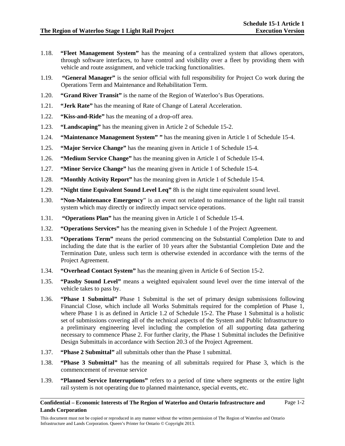- 1.18. **"Fleet Management System"** has the meaning of a centralized system that allows operators, through software interfaces, to have control and visibility over a fleet by providing them with vehicle and route assignment, and vehicle tracking functionalities.
- 1.19. **"General Manager"** is the senior official with full responsibility for Project Co work during the Operations Term and Maintenance and Rehabilitation Term.
- 1.20. **"Grand River Transit"** is the name of the Region of Waterloo's Bus Operations.
- 1.21. **"Jerk Rate"** has the meaning of Rate of Change of Lateral Acceleration.
- 1.22. **"Kiss-and-Ride"** has the meaning of a drop-off area.
- 1.23. **"Landscaping"** has the meaning given in Article 2 of Schedule 15-2.
- 1.24. **"Maintenance Management System" "** has the meaning given in Article 1 of Schedule 15-4.
- 1.25. **"Major Service Change"** has the meaning given in Article 1 of Schedule 15-4.
- 1.26. **"Medium Service Change"** has the meaning given in Article 1 of Schedule 15-4.
- 1.27. **"Minor Service Change"** has the meaning given in Article 1 of Schedule 15-4.
- 1.28. **"Monthly Activity Report"** has the meaning given in Article 1 of Schedule 15-4.
- 1.29. **"Night time Equivalent Sound Level Leq"** 8h is the night time equivalent sound level.
- 1.30. **"Non-Maintenance Emergency**" is an event not related to maintenance of the light rail transit system which may directly or indirectly impact service operations.
- 1.31. **"Operations Plan"** has the meaning given in Article 1 of Schedule 15-4.
- 1.32. **"Operations Services"** has the meaning given in Schedule 1 of the Project Agreement.
- 1.33. **"Operations Term"** means the period commencing on the Substantial Completion Date to and including the date that is the earlier of 10 years after the Substantial Completion Date and the Termination Date, unless such term is otherwise extended in accordance with the terms of the Project Agreement.
- 1.34. **"Overhead Contact System"** has the meaning given in Article 6 of Section 15-2.
- 1.35. **"Passby Sound Level"** means a weighted equivalent sound level over the time interval of the vehicle takes to pass by.
- 1.36. **"Phase 1 Submittal"** Phase 1 Submittal is the set of primary design submissions following Financial Close, which include all Works Submittals required for the completion of Phase 1, where Phase 1 is as defined in Article 1.2 of Schedule 15-2. The Phase 1 Submittal is a holistic set of submissions covering all of the technical aspects of the System and Public Infrastructure to a preliminary engineering level including the completion of all supporting data gathering necessary to commence Phase 2. For further clarity, the Phase 1 Submittal includes the Definitive Design Submittals in accordance with Section 20.3 of the Project Agreement.
- 1.37. **"Phase 2 Submittal"** all submittals other than the Phase 1 submittal.
- 1.38. **"Phase 3 Submittal"** has the meaning of all submittals required for Phase 3, which is the commencement of revenue service
- 1.39. **"Planned Service Interruptions"** refers to a period of time where segments or the entire light rail system is not operating due to planned maintenance, special events, etc.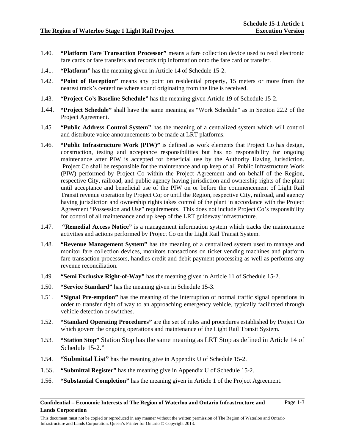- 1.40. **"Platform Fare Transaction Processor"** means a fare collection device used to read electronic fare cards or fare transfers and records trip information onto the fare card or transfer.
- 1.41. **"Platform"** has the meaning given in Article 14 of Schedule 15-2.
- 1.42. **"Point of Reception"** means any point on residential property, 15 meters or more from the nearest track's centerline where sound originating from the line is received.
- 1.43. **"Project Co's Baseline Schedule"** has the meaning given Article 19 of Schedule 15-2.
- 1.44. **"Project Schedule"** shall have the same meaning as "Work Schedule" as in Section 22.2 of the Project Agreement.
- 1.45. **"Public Address Control System"** has the meaning of a centralized system which will control and distribute voice announcements to be made at LRT platforms.
- 1.46. **"Public Infrastructure Work (PIW)"** is defined as work elements that Project Co has design, construction, testing and acceptance responsibilities but has no responsibility for ongoing maintenance after PIW is accepted for beneficial use by the Authority Having Jurisdiction. Project Co shall be responsible for the maintenance and up keep of all Public Infrastructure Work (PIW) performed by Project Co within the Project Agreement and on behalf of the Region, respective City, railroad, and public agency having jurisdiction and ownership rights of the plant until acceptance and beneficial use of the PIW on or before the commencement of Light Rail Transit revenue operation by Project Co; or until the Region, respective City, railroad, and agency having jurisdiction and ownership rights takes control of the plant in accordance with the Project Agreement "Possession and Use" requirements. This does not include Project Co's responsibility for control of all maintenance and up keep of the LRT guideway infrastructure.
- 1.47. **"Remedial Access Notice"** is a management information system which tracks the maintenance activities and actions performed by Project Co on the Light Rail Transit System.
- 1.48. **"Revenue Management System"** has the meaning of a centralized system used to manage and monitor fare collection devices, monitors transactions on ticket vending machines and platform fare transaction processors, handles credit and debit payment processing as well as performs any revenue reconciliation.
- 1.49. **"Semi Exclusive Right-of-Way"** has the meaning given in Article 11 of Schedule 15-2.
- 1.50. **"Service Standard"** has the meaning given in Schedule 15-3.
- 1.51. **"Signal Pre-emption"** has the meaning of the interruption of normal traffic signal operations in order to transfer right of way to an approaching emergency vehicle, typically facilitated through vehicle detection or switches.
- 1.52. **"Standard Operating Procedures"** are the set of rules and procedures established by Project Co which govern the ongoing operations and maintenance of the Light Rail Transit System.
- 1.53. **"Station Stop"** Station Stop has the same meaning as LRT Stop as defined in Article 14 of Schedule 15-2."
- 1.54. **"Submittal List"** has the meaning give in Appendix U of Schedule 15-2.
- 1.55. **"Submittal Register"** has the meaning give in Appendix U of Schedule 15-2.
- 1.56. **"Substantial Completion"** has the meaning given in Article 1 of the Project Agreement.